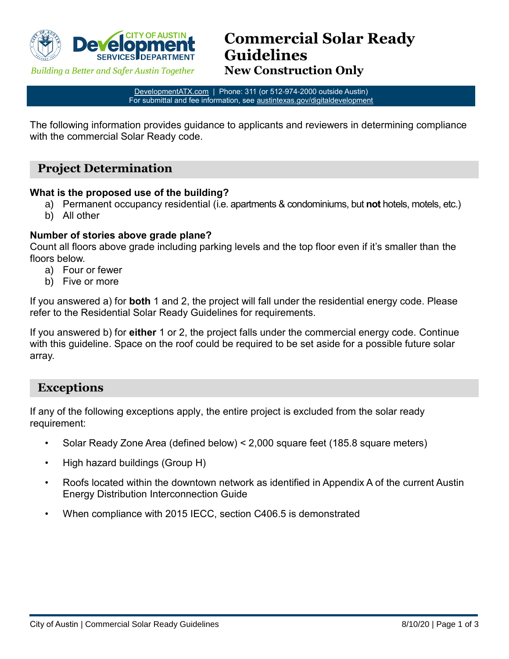

# **Commercial Solar Ready Guidelines New Construction Only**

**Building a Better and Safer Austin Together** 

[DevelopmentATX.com](http://www.developmentatx.com/) | Phone: 311 (or 512-974-2000 outside Austin) For submittal and fee information, se[e austintexas.gov/digitaldevelopment](http://www.austintexas.gov/digitaldevelopment)

The following information provides guidance to applicants and reviewers in determining compliance with the commercial Solar Ready code.

## **Project Determination**

## **What is the proposed use of the building?**

- a) Permanent occupancy residential (i.e. apartments & condominiums, but **not** hotels, motels, etc.)
- b) All other

#### **Number of stories above grade plane?**

Count all floors above grade including parking levels and the top floor even if it's smaller than the floors below.

- a) Four or fewer
- b) Five or more

If you answered a) for **both** 1 and 2, the project will fall under the residential energy code. Please refer to the Residential Solar Ready Guidelines for requirements.

If you answered b) for **either** 1 or 2, the project falls under the commercial energy code. Continue with this guideline. Space on the roof could be required to be set aside for a possible future solar array.

## **Exceptions**

If any of the following exceptions apply, the entire project is excluded from the solar ready requirement:

- Solar Ready Zone Area (defined below) < 2,000 square feet (185.8 square meters)
- High hazard buildings (Group H)
- Roofs located within the downtown network as identified in Appendix A of the current Austin Energy Distribution Interconnection Guide
- When compliance with 2015 IECC, section C406.5 is demonstrated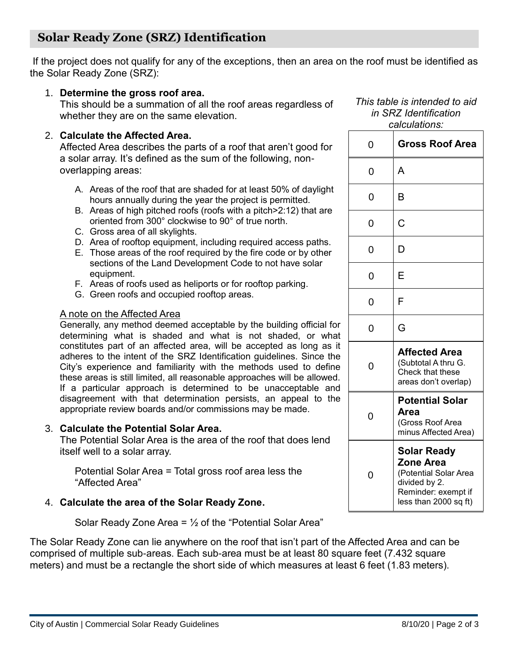# **Solar Ready Zone (SRZ) Identification**

If the project does not qualify for any of the exceptions, then an area on the roof must be identified as the Solar Ready Zone (SRZ):

## 1. **Determine the gross roof area.**

This should be a summation of all the roof areas regardless of whether they are on the same elevation.

## 2. **Calculate the Affected Area.**

Affected Area describes the parts of a roof that aren't good for a solar array. It's defined as the sum of the following, nonoverlapping areas:

- A. Areas of the roof that are shaded for at least 50% of daylight hours annually during the year the project is permitted.
- B. Areas of high pitched roofs (roofs with a pitch>2:12) that are oriented from 300° clockwise to 90° of true north.
- C. Gross area of all skylights.
- D. Area of rooftop equipment, including required access paths.
- E. Those areas of the roof required by the fire code or by other sections of the Land Development Code to not have solar equipment.
- F. Areas of roofs used as heliports or for rooftop parking.
- G. Green roofs and occupied rooftop areas.

## A note on the Affected Area

Generally, any method deemed acceptable by the building official for determining what is shaded and what is not shaded, or what constitutes part of an affected area, will be accepted as long as it adheres to the intent of the SRZ Identification guidelines. Since the City's experience and familiarity with the methods used to define these areas is still limited, all reasonable approaches will be allowed. If a particular approach is determined to be unacceptable and disagreement with that determination persists, an appeal to the appropriate review boards and/or commissions may be made.

## 3. **Calculate the Potential Solar Area.**

The Potential Solar Area is the area of the roof that does lend itself well to a solar array.

Potential Solar Area = Total gross roof area less the "Affected Area"

## 4. **Calculate the area of the Solar Ready Zone.**

Solar Ready Zone Area =  $\frac{1}{2}$  of the "Potential Solar Area"

The Solar Ready Zone can lie anywhere on the roof that isn't part of the Affected Area and can be comprised of multiple sub-areas. Each sub-area must be at least 80 square feet (7.432 square meters) and must be a rectangle the short side of which measures at least 6 feet (1.83 meters).

| This table is intended to aid |
|-------------------------------|
| in SRZ Identification         |
| calculations:                 |

| 0 | <b>Gross Roof Area</b>                                                                                                           |
|---|----------------------------------------------------------------------------------------------------------------------------------|
| 0 | A                                                                                                                                |
| 0 | B                                                                                                                                |
| 0 | С                                                                                                                                |
| 0 | D                                                                                                                                |
| 0 | E                                                                                                                                |
| 0 | F                                                                                                                                |
| 0 | G                                                                                                                                |
| 0 | <b>Affected Area</b><br>(Subtotal A thru G.<br>Check that these<br>areas don't overlap)                                          |
| 0 | <b>Potential Solar</b><br>Area<br>(Gross Roof Area<br>minus Affected Area)                                                       |
| 0 | <b>Solar Ready</b><br><b>Zone Area</b><br>(Potential Solar Area<br>divided by 2.<br>Reminder: exempt if<br>less than 2000 sq ft) |